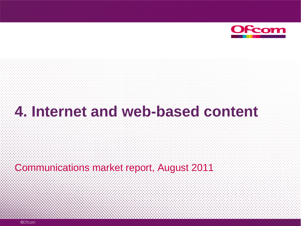

# **4. Internet and web-based content**

Communications market report, August 2011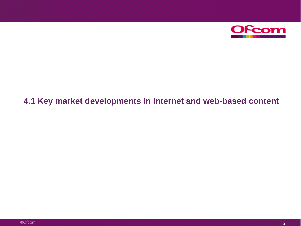

### **4.1 Key market developments in internet and web-based content**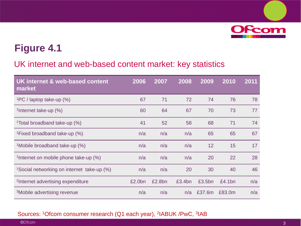

### UK internet and web-based content market: key statistics

| UK internet & web-based content<br>market              | 2006   | 2007   | 2008   | 2009   | 2010   | 2011 |
|--------------------------------------------------------|--------|--------|--------|--------|--------|------|
| $\frac{1}{2}$ PC / laptop take-up (%)                  | 67     | 71     | 72     | 74     | 76     | 78   |
| <sup>1</sup> Internet take-up $(\%)$                   | 60     | 64     | 67     | 70     | 73     | 77   |
| <sup>1</sup> Total broadband take-up (%)               | 41     | 52     | 58     | 68     | 71     | 74   |
| <sup>1</sup> Fixed broadband take-up (%)               | n/a    | n/a    | n/a    | 65     | 65     | 67   |
| <sup>1</sup> Mobile broadband take-up (%)              | n/a    | n/a    | n/a    | 12     | 15     | 17   |
| <sup>1</sup> Internet on mobile phone take-up $(\%)$   | n/a    | n/a    | n/a    | 20     | 22     | 28   |
| <sup>1</sup> Social networking on internet take-up (%) | n/a    | n/a    | 20     | 30     | 40     | 46   |
| <sup>2</sup> Internet advertising expenditure          | £2.0bn | £2.8bn | £3.4bn | £3.5bn | £4.1bn | n/a  |
| <sup>3</sup> Mobile advertising revenue                | n/a    | n/a    | n/a    | £37.6m | £83.0m | n/a  |

#### Sources: 1Ofcom consumer research (Q1 each year), 2IABUK /PwC, 3IAB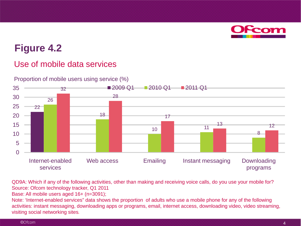

### Use of mobile data services



QD9A: Which if any of the following activities, other than making and receiving voice calls, do you use your mobile for? Source: Ofcom technology tracker, Q1 2011

Base: All mobile users aged 16+ (n=3091);

Note: 'Internet-enabled services" data shows the proportion of adults who use a mobile phone for any of the following activities: instant messaging, downloading apps or programs, email, internet access, downloading video, video streaming, visiting social networking sites*.*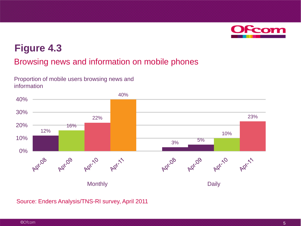

### Browsing news and information on mobile phones

Proportion of mobile users browsing news and information



Source: Enders Analysis/TNS-RI survey, April 2011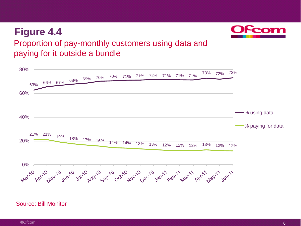

### Proportion of pay-monthly customers using data and paying for it outside a bundle



#### Source: Bill Monitor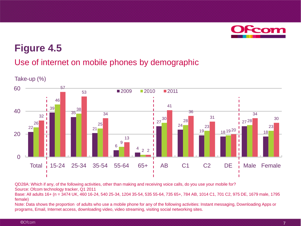

### Use of internet on mobile phones by demographic



QD28A: Which if any, of the following activities, other than making and receiving voice calls, do you use your mobile for?

Source: Ofcom technology tracker, Q1 2011

Base: All adults 16+ (n = 3474 UK, 460 16-24, 540 25-34, 1204 35-54, 535 55-64, 735 65+, 784 AB, 1014 C1, 701 C2, 975 DE, 1679 male, 1795 female)

Note: Data shows the proportion of adults who use a mobile phone for any of the following activities: Instant messaging, Downloading Apps or programs, Email, Internet access, downloading video, video streaming, visiting social networking sites.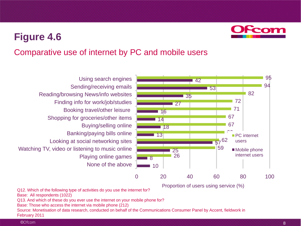### Comparative use of internet by PC and mobile users

None of the above Playing online games Watching TV, video or listening to music online Looking at social networking sites Banking/paying bills online Buying/selling online Shopping for groceries/other items Booking travel/other leisure Finding info for work/job/studies Reading/browsing News/info websites Sending/receiving emails Using search engines



Proportion of users using service (%)

Q12. Which of the following type of activities do you use the internet for? Base: All respondents (1022) Q13. And which of these do you ever use the internet on your mobile phone for? Base: Those who access the internet via mobile phone (212) Source: Monetisation of data research, conducted on behalf of the Communications Consumer Panel by Accent, fieldwork in February 2011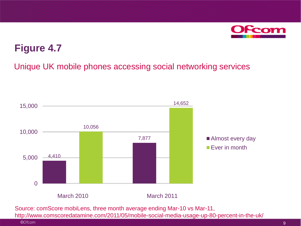

### Unique UK mobile phones accessing social networking services

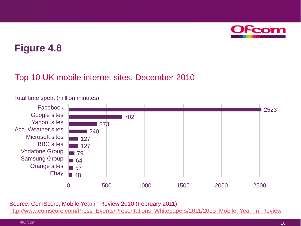

### Top 10 UK mobile internet sites, December 2010



#### Total time spent (million minutes)

Source: ComScore, Mobile Year in Review 2010 (February 2011),

[http://www.comscore.com/Press\\_Events/Presentations\\_Whitepapers/2011/2010\\_Mobile\\_Year\\_in\\_Review](http://www.comscore.com/Press_Events/Presentations_Whitepapers/2011/2010_Mobile_Year_in_Review)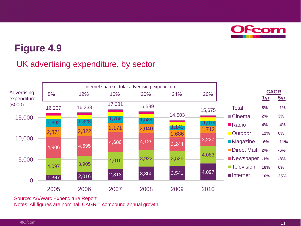Fcom

## **Figure 4.9**

### UK advertising expenditure, by sector



Source: AA/Warc Expenditure Report

Notes: All figures are nominal; CAGR = compound annual growth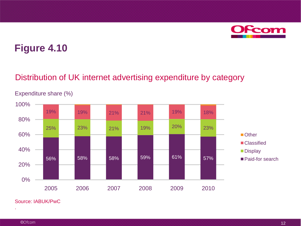

### Distribution of UK internet advertising expenditure by category



Expenditure share (%)

Source: IABUK/PwC

.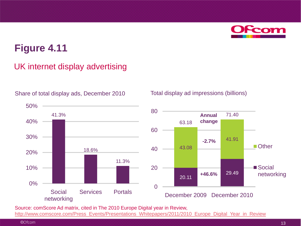

### UK internet display advertising



#### Share of total display ads, December 2010

Total display ad impressions (billions)



Source: comScore Ad matrix, cited in The 2010 Europe Digital year in Review, [http://www.comscore.com/Press\\_Events/Presentations\\_Whitepapers/2011/2010\\_Europe\\_Digital\\_Year\\_in\\_Review](http://www.comscore.com/Press_Events/Presentations_Whitepapers/2011/2010_Europe_Digital_Year_in_Review)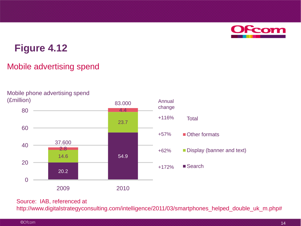

### Mobile advertising spend



#### Source: IAB, referenced at

http://www.digitalstrategyconsulting.com/intelligence/2011/03/smartphones\_helped\_double\_uk\_m.php#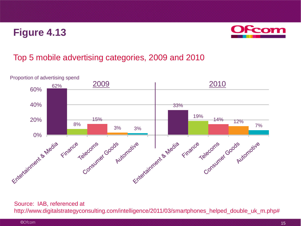

### Top 5 mobile advertising categories, 2009 and 2010



#### Source: IAB, referenced at

http://www.digitalstrategyconsulting.com/intelligence/2011/03/smartphones\_helped\_double\_uk\_m.php#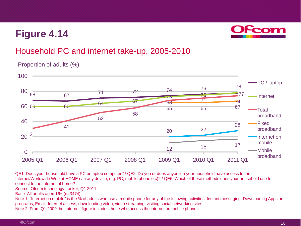

### Household PC and internet take-up, 2005-2010



Proportion of adults (%)

QE1: Does your household have a PC or laptop computer? / QE2: Do you or does anyone in your household have access to the Internet/Worldwide Web at HOME (via any device, e.g. PC, mobile phone etc)? / QE6: Which of these methods does your household use to connect to the Internet at home?

Source: Ofcom technology tracker, Q1 2011.

Base: All adults aged 16+ (n=3474)

Note 1: "Internet on mobile" is the % of adults who use a mobile phone for any of the following activities: Instant messaging, Downloading Apps or programs, Email, Internet access, downloading video, video streaming, visiting social networking sites.

Note 2: From,Q1 2009 the 'Internet' figure includes those who access the internet on mobile phones.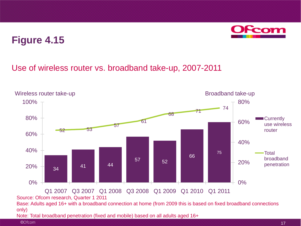

### Use of wireless router vs. broadband take-up, 2007-2011

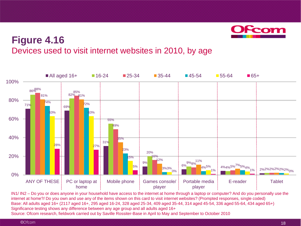

## **Figure 4.16** Devices used to visit internet websites in 2010, by age



IN1/ IN2 – Do you or does anyone in your household have access to the internet at home through a laptop or computer? And do you personally use the internet at home?/ Do you own and use any of the items shown on this card to visit internet websites? (Prompted responses, single coded) Base: All adults aged 16+ (2117 aged 16+, 295 aged 16-24, 328 aged 25-34, 409 aged 35-44, 314 aged 45-54, 336 aged 55-64, 434 aged 65+) Significance testing shows any difference between any age group and all adults aged 16+ Source: Ofcom research, fieldwork carried out by Saville Rossiter-Base in April to May and September to October 2010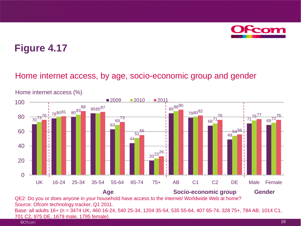

### Home internet access, by age, socio-economic group and gender



Home internet access (%)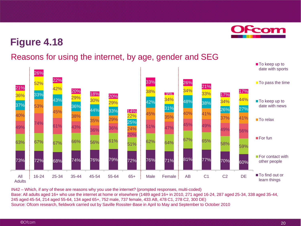

### Reasons for using the internet, by age, gender and SEG



IN42 – Which, if any of these are reasons why you use the internet? (prompted responses, multi-coded) Base: All adults aged 16+ who use the internet at home or elsewhere (1489 aged 16+ in 2010, 271 aged 16-24, 287 aged 25-34, 338 aged 35-44, 245 aged 45-54, 214 aged 55-64, 134 aged 65+, 752 male, 737 female, 433 AB, 478 C1, 278 C2, 300 DE) Source: Ofcom research, fieldwork carried out by Saville Rossiter-Base in April to May and September to October 2010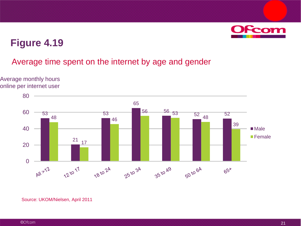

### Average time spent on the internet by age and gender

Average monthly hours online per internet user



Source: UKOM/Nielsen, April 2011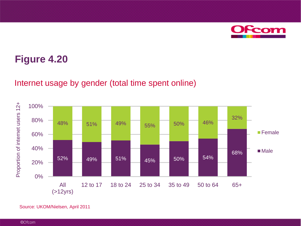

### Internet usage by gender (total time spent online)



Source: UKOM/Nielsen, April 2011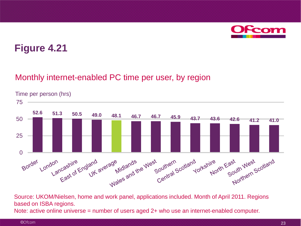

### Monthly internet-enabled PC time per user, by region



Source: UKOM/Nielsen, home and work panel, applications included. Month of April 2011. Regions based on ISBA regions. Note: active online universe = number of users aged 2+ who use an internet-enabled computer.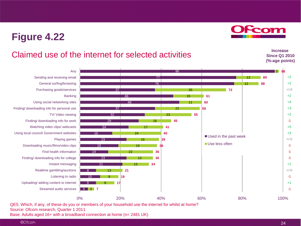### Claimed use of the internet for selected activities

4 3 **7** 8  $1<sub>0</sub>$ 8 21 23 14 19 23 16 24 29 32 37 49 46 37 76 77 96 9  $\alpha$ 13 13 13 22 19 16  $24$ 17 16 23 22 11 15 35 12 12 2 **98 17 19 21 34 36 36 38 39 40 41 45 55 59 60 61 72 88 89** 0% 20% 40% 60% 80% 100% Streamed audio services Uploading/ adding content to internet Listening to radio Realtime gambling/auctions Instant messaging Finding/ downloading info for college Find health information Downloading music/films/video clips Playing games Using local council/ Government websites Watching video clips/ webcasts Finding/ downloading info for work TV/ Video viewing Finding/ downloading info for personal use Using social networking sites **Banking** Purchasing goods/services General surfing/browsing Sending and receiving email Any Used in the past week Use less often +2 +2  $+/-0$ +2  $+4$ +3 +2 -1  $+5$ +3  $+/-()$ -1 -1 -1 +1  $+/-0$ -1 +1 -1

QE5. Which, if any, of these do you or members of your household use the internet for whilst at home? Source: Ofcom research, Quarter 1 2011

Base: Adults aged 16+ with a broadband connection at home (n= 2481 UK)



**Increase Since Q1 2010 (%-age points)**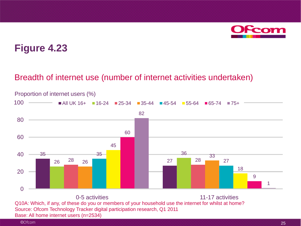

### Breadth of internet use (number of internet activities undertaken)

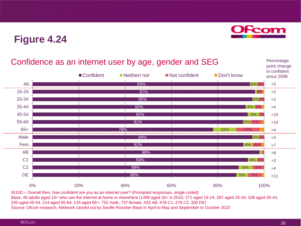## **Fcom**

## **Figure 4.24**



IN10D – Overall then, how confident are you as an internet user? (Prompted responses, single coded) Base: All adults aged 16+ who use the internet at home or elsewhere (1489 aged 16+ in 2010, 271 aged 16-24, 287 aged 25-34, 338 aged 35-44, 245 aged 45-54, 214 aged 55-64, 134 aged 65+, 752 male, 737 female, 433 AB, 478 C1, 278 C2, 300 DE) Source: Ofcom research, fieldwork carried out by Saville Rossiter-Base in April to May and September to October 2010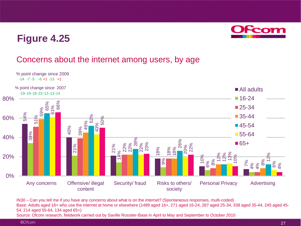

### Concerns about the internet among users, by age



IN30 – Can you tell me if you have any concerns about what is on the internet? (Spontaneous responses, multi-coded)

Base: Adults aged 16+ who use the internet at home or elsewhere (1489 aged 16+, 271 aged 16-24, 287 aged 25-34, 338 aged 35-44, 245 aged 45- 54, 214 aged 55-64, 134 aged 65+)

Source: Ofcom research, fieldwork carried out by Saville Rossiter-Base in April to May and September to October 2010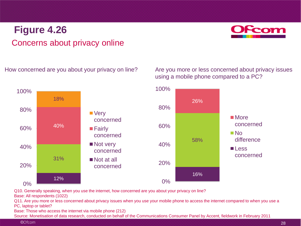## **Figure 4.26** Concerns about privacy online



How concerned are you about your privacy on line?

Are you more or less concerned about privacy issues using a mobile phone compared to a PC?



Q10. Generally speaking, when you use the internet, how concerned are you about your privacy on line?

Base: All respondents (1022)

Q11. Are you more or less concerned about privacy issues when you use your mobile phone to access the internet compared to when you use a PC, laptop or tablet?

Base: Those who access the internet via mobile phone (212)

Source: Monetisation of data research, conducted on behalf of the Communications Consumer Panel by Accent, fieldwork in February 2011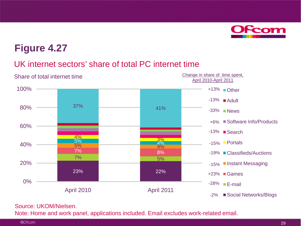

### UK internet sectors' share of total PC internet time



#### Source: UKOM/Nielsen.

Note: Home and work panel, applications included. Email excludes work-related email.

©Ofcom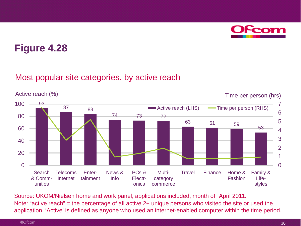

### Most popular site categories, by active reach



Source: UKOM/Nielsen home and work panel, applications included, month of April 2011. Note: "active reach" = the percentage of all active 2+ unique persons who visited the site or used the application. 'Active' is defined as anyone who used an internet-enabled computer within the time period.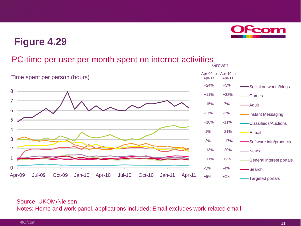

### PC-time per user per month spent on internet activities



#### Source: UKOM/Nielsen Notes: Home and work panel, applications included; Email excludes work-related email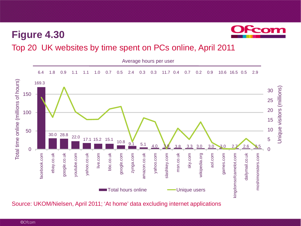

### Top 20 UK websites by time spent on PCs online, April 2011



Source: UKOM/Nielsen, April 2011; 'At home' data excluding internet applications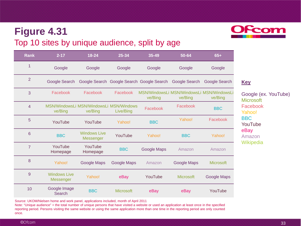once.

## **Figure 4.31**

### Top 10 sites by unique audience, split by age

Source: UKOM/Nielsen home and work panel, applications included, month of April 2011

| <b>Rank</b>    | $2 - 17$                         | $18 - 24$                                          | 25-34              | $35 - 49$                                 | 50-64            | $65+$                                                |
|----------------|----------------------------------|----------------------------------------------------|--------------------|-------------------------------------------|------------------|------------------------------------------------------|
| 1              | Google                           | Google                                             | Google             | Google                                    | Google           | Google                                               |
| $\overline{2}$ | <b>Google Search</b>             |                                                    |                    | Google Search Google Search Google Search | Google Search    | Google Search                                        |
| 3              | Facebook                         | Facebook                                           | Facebook           | ve/Bing                                   | ve/Bing          | MSN/WindowsLi MSN/WindowsLi MSN/WindowsLi<br>ve/Bing |
| $\overline{4}$ | ve/Bing                          | MSN/WindowsLi MSN/WindowsLi MSN/Windows<br>ve/Bing | Live/Bing          | Facebook                                  | Facebook         | <b>BBC</b>                                           |
| 5              | YouTube                          | YouTube                                            | Yahoo!             | <b>BBC</b>                                | Yahoo!           | Facebook                                             |
| 6              | <b>BBC</b>                       | <b>Windows Live</b><br>Messenger                   | YouTube            | Yahoo!                                    | <b>BBC</b>       | Yahoo!                                               |
| $\overline{7}$ | YouTube<br>Homepage              | YouTube<br>Homepage                                | <b>BBC</b>         | Google Maps                               | Amazon           | Amazon                                               |
| 8              | Yahoo!                           | <b>Google Maps</b>                                 | <b>Google Maps</b> | Amazon                                    | Google Maps      | <b>Microsoft</b>                                     |
| 9              | <b>Windows Live</b><br>Messenger | Yahoo!                                             | eBay               | YouTube                                   | <b>Microsoft</b> | <b>Google Maps</b>                                   |
| 10             | Google Image<br>Search           | <b>BBC</b>                                         | <b>Microsoft</b>   | eBay                                      | eBay             | YouTube                                              |

Note: "Unique audience" = the total number of unique persons that have visited a website or used an application at least once in the specified reporting period. Persons visiting the same website or using the same application more than one time in the reporting period are only counted **Key**

Google (ex. YouTube) **Microsoft** Facebook Yahoo! BBC YouTube eBay Amazon **Wikipedia** 

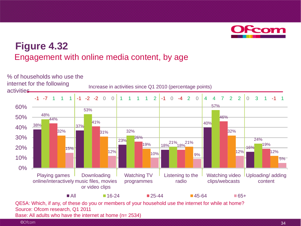

## **Figure 4.32** Engagement with online media content, by age

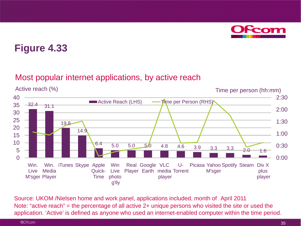

### Most popular internet applications, by active reach

Active reach (%)

Time per person (hh:mm)



Source: UKOM /Nielsen home and work panel, applications included, month of April 2011 Note: "active reach" = the percentage of all active 2+ unique persons who visited the site or used the application. 'Active' is defined as anyone who used an internet-enabled computer within the time period.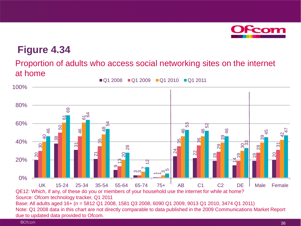

### Proportion of adults who access social networking sites on the internet at home



Base: All adults aged 16+ (n = 5812 Q1 2008, 1581 Q3 2008, 6090 Q1 2009, 9013 Q1 2010, 3474 Q1 2011) Note: Q1 2008 data in this chart are not directly comparable to data published in the 2009 Communications Market Report due to updated data provided to Ofcom.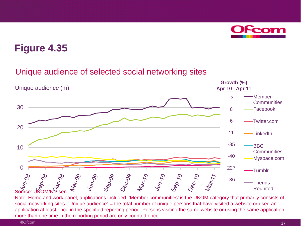

### Unique audience of selected social networking sites



Note: Home and work panel, applications included. 'Member communities' is the UKOM category that primarily consists of social networking sites. "Unique audience" = the total number of unique persons that have visited a website or used an application at least once in the specified reporting period. Persons visiting the same website or using the same application more than one time in the reporting period are only counted once.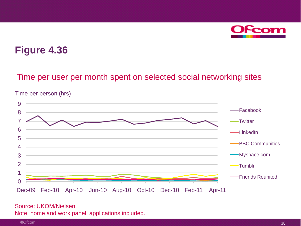

### Time per user per month spent on selected social networking sites



Time per person (hrs)

#### Source: UKOM/Nielsen.

Note: home and work panel, applications included.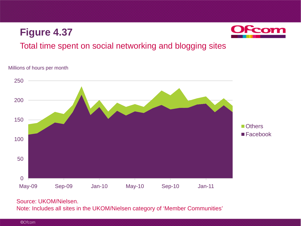

### Total time spent on social networking and blogging sites

#### Millions of hours per month



#### Source: UKOM/Nielsen.

Note: Includes all sites in the UKOM/Nielsen category of 'Member Communities'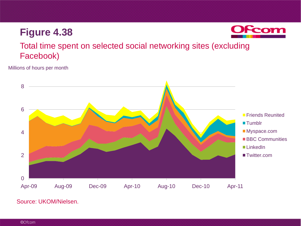

### Total time spent on selected social networking sites (excluding Facebook)

Millions of hours per month



Source: UKOM/Nielsen.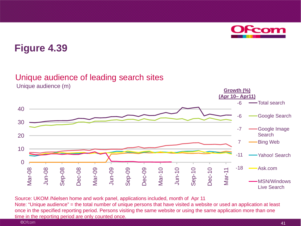

**Growth (%)**

## **Figure 4.39**

### Unique audience of leading search sites

Unique audience (m)



Source: UKOM /Nielsen home and work panel, applications included, month of Apr 11 Note: "Unique audience" = the total number of unique persons that have visited a website or used an application at least once in the specified reporting period. Persons visiting the same website or using the same application more than one time in the reporting period are only counted once.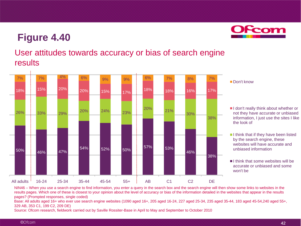

### User attitudes towards accuracy or bias of search engine **results**



#### Don't know

- I don't really think about whether or not they have accurate or unbiased information. I just use the sites I like the look of
- I think that if they have been listed by the search engine, these websites will have accurate and unbiased information
- $\blacksquare$  I think that some websites will be accurate or unbiased and some won't be

NIN46 – When you use a search engine to find information, you enter a query in the search box and the search engine will then show some links to websites in the results pages. Which one of these is closest to your opinion about the level of accuracy or bias of the information detailed in the websites that appear in the results pages? (Prompted responses, single coded)

Base: All adults aged 16+ who ever use search engine websites (1090 aged 16+, 205 aged 16-24, 227 aged 25-34, 235 aged 35-44, 183 aged 45-54,240 aged 55+, 329 AB, 353 C1, 199 C2, 209 DE)

Source: Ofcom research, fieldwork carried out by Saville Rossiter-Base in April to May and September to October 2010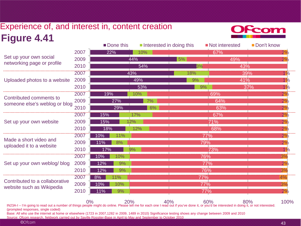### **Figure 4.41**  $\blacksquare$  Done this  $\blacksquare$  Interested in doing this  $\blacksquare$  Not interested  $\blacksquare$  Don't know Experience of, and interest in, content creation



|                                                             |      | $\blacksquare$ DUITE THIS | <u>Litre rested in additional</u> |     | <b>UNULTRESICU</b> | $\blacksquare$ DUIT NHOW |
|-------------------------------------------------------------|------|---------------------------|-----------------------------------|-----|--------------------|--------------------------|
|                                                             | 2007 | 22%                       | 10%                               |     | 67%                | 2%                       |
| Set up your own social<br>networking page or profile        | 2009 |                           | 44%                               | 5%  | 49%                | 2%                       |
|                                                             | 2010 |                           | 54%                               | 3%  | 43%                |                          |
| Uploaded photos to a website                                | 2007 |                           | 43%                               | 18% | 39%                | $1\%$                    |
|                                                             | 2009 |                           | 49%                               | 9%  | 41%                | $1\%$                    |
|                                                             | 2010 |                           | 53%                               | 9%  | 37%                | $1\%$                    |
| Contributed comments to<br>someone else's weblog or blog    | 2007 | 19%                       | 10%                               |     | 69%                | 2%                       |
|                                                             | 2009 | 27%                       | 7%                                |     | 64%                | 2%                       |
|                                                             | 2010 | 29%                       | 6%                                |     | 63%                | 2%                       |
| Set up your own website                                     | 2007 | 15%                       | 17%                               |     | 67%                | 2%                       |
|                                                             | 2009 | 15%                       | 12%                               |     | 71%                | 2%                       |
|                                                             | 2010 | 18%                       | 12%                               |     | 68%                | 2%                       |
| Made a short video and<br>uploaded it to a website          | 2007 | 11%<br>10%                |                                   | 77% |                    | 2%                       |
|                                                             | 2009 | 8%<br>$1\%$               |                                   | 79% |                    | 2%                       |
|                                                             | 2010 | 17%                       | 9%                                |     | 73%                | $1\%$                    |
| Set up your own weblog/blog                                 | 2007 | 10%<br>10%                |                                   | 76% |                    | 3%                       |
|                                                             | 2009 | 12%<br>9%                 |                                   | 77% |                    | 2%                       |
|                                                             | 2010 | 9%<br>12%                 |                                   | 76% |                    | 3%                       |
| Contributed to a collaborative<br>website such as Wikipedia | 2007 | 8%<br>$1\%$               |                                   | 77% |                    | 4%                       |
|                                                             | 2009 | 10%<br>10%                |                                   | 77% |                    | 3%                       |
|                                                             | 2010 | 9%<br>11%                 |                                   | 77% |                    | 2%                       |

(prompted responses, single coded)

Base: All who use the internet at home or elsewhere (1723 in 2007,1282 in 2009, 1489 in 2010) Significance testing shows any change between 2009 and 2010 Source: Ofcom research, fieldwork carried out by Saville Rossiter-Base in April to May and September to October 2010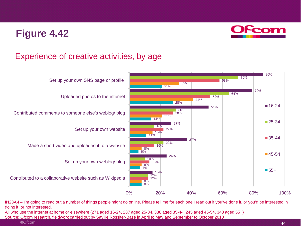

### Experience of creative activities, by age



IN23A-I – I'm going to read out a number of things people might do online. Please tell me for each one I read out if you've done it, or you'd be interested in doing it, or not interested.

All who use the internet at home or elsewhere (271 aged 16-24, 287 aged 25-34, 338 aged 35-44, 245 aged 45-54, 348 aged 55+) Source: Ofcom research, fieldwork carried out by Saville Rossiter-Base in April to May and September to October 2010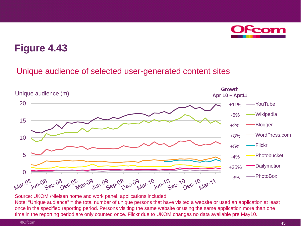

### Unique audience of selected user-generated content sites



Source: UKOM /Nielsen home and work panel, applications included,

Note: "Unique audience" = the total number of unique persons that have visited a website or used an application at least once in the specified reporting period. Persons visiting the same website or using the same application more than one time in the reporting period are only counted once. Flickr due to UKOM changes no data available pre May10.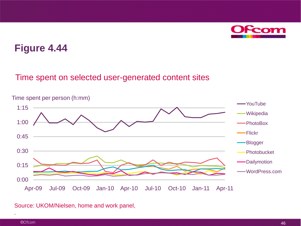

### Time spent on selected user-generated content sites



#### Source: UKOM/Nielsen, home and work panel,

.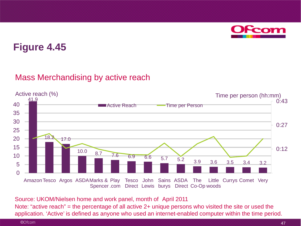

### Mass Merchandising by active reach



Source: UKOM/Nielsen home and work panel, month of April 2011

Note: "active reach" = the percentage of all active 2+ unique persons who visited the site or used the application. 'Active' is defined as anyone who used an internet-enabled computer within the time period.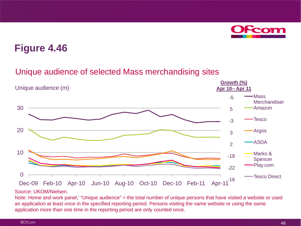

### Unique audience of selected Mass merchandising sites



#### Source: UKOM/Nielsen.

Note: Home and work panel,' "Unique audience" = the total number of unique persons that have visited a website or used an application at least once in the specified reporting period. Persons visiting the same website or using the same application more than one time in the reporting period are only counted once.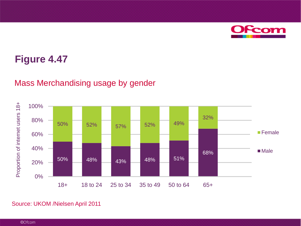

### Mass Merchandising usage by gender



Source: UKOM /Nielsen April 2011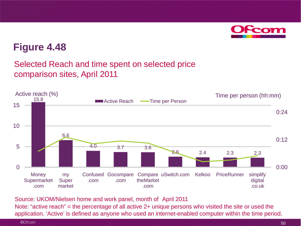

### Selected Reach and time spent on selected price comparison sites, April 2011



Source: UKOM/Nielsen home and work panel, month of April 2011

Note: "active reach" = the percentage of all active 2+ unique persons who visited the site or used the application. 'Active' is defined as anyone who used an internet-enabled computer within the time period.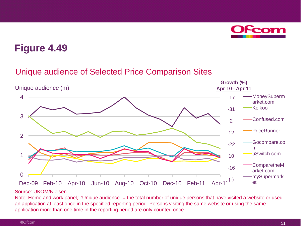

### Unique audience of Selected Price Comparison Sites



#### Source: UKOM/Nielsen.

Note: Home and work panel,' "Unique audience" = the total number of unique persons that have visited a website or used an application at least once in the specified reporting period. Persons visiting the same website or using the same application more than one time in the reporting period are only counted once.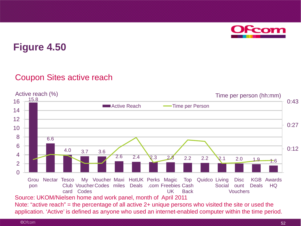

### Coupon Sites active reach



Note: "active reach" = the percentage of all active 2+ unique persons who visited the site or used the application. 'Active' is defined as anyone who used an internet-enabled computer within the time period.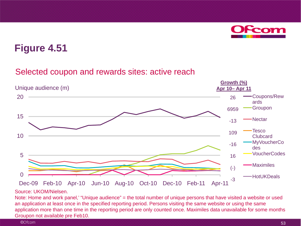

### Selected coupon and rewards sites: active reach



#### Source: UKOM/Nielsen.

Note: Home and work panel,' "Unique audience" = the total number of unique persons that have visited a website or used an application at least once in the specified reporting period. Persons visiting the same website or using the same application more than one time in the reporting period are only counted once. Maximiles data unavailable for some months Groupon not available pre Feb10.